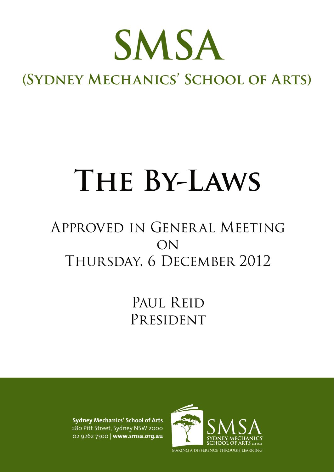

# **(Sydney Mechanics' School of Arts)**

# **The By-Laws**

# Approved in General Meeting ON Thursday, 6 December 2012

# PAUL REID PRESIDENT

**Sydney Mechanics' School of Arts** 280 Pitt Street, Sydney NSW 2000 02 9262 7300 | **www.smsa.org.au**

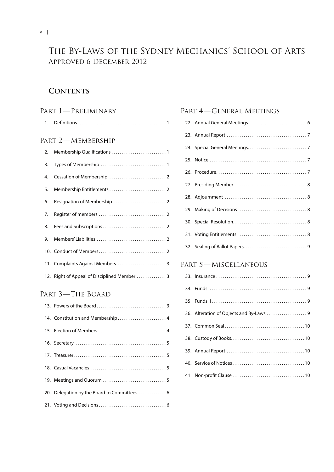# The By-Laws of the Sydney Mechanics' School of Arts Approved 6 December 2012

# **Contents**

## Part 1—Preliminary

| 1. |                                              |
|----|----------------------------------------------|
|    | PART 2-MEMBERSHIP                            |
| 2. |                                              |
| 3. |                                              |
| 4. |                                              |
| 5. |                                              |
| 6. |                                              |
| 7. |                                              |
| 8. |                                              |
| 9. |                                              |
|    |                                              |
|    | 11. Complaints Against Members 3             |
|    | 12. Right of Appeal of Disciplined Member  3 |

# Part 3—The Board

| 14. Constitution and Membership 4            |
|----------------------------------------------|
|                                              |
|                                              |
|                                              |
|                                              |
|                                              |
| 20. Delegation by the Board to Committees  6 |
|                                              |

# Part 4—General Meetings

# PART 5-MISCELLANEOUS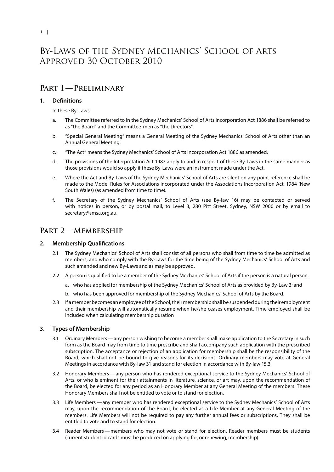# By-Laws of the Sydney Mechanics' School of Arts Approved 30 October 2010

# **Part 1—Preliminary**

#### **1. Definitions**

#### In these By-Laws:

- a. The Committee referred to in the Sydney Mechanics' School of Arts Incorporation Act 1886 shall be referred to as "the Board" and the Committee-men as "the Directors".
- b. "Special General Meeting" means a General Meeting of the Sydney Mechanics' School of Arts other than an Annual General Meeting.
- c. "The Act" means the Sydney Mechanics' School of Arts Incorporation Act 1886 as amended.
- d. The provisions of the Interpretation Act 1987 apply to and in respect of these By-Laws in the same manner as those provisions would so apply if these By-Laws were an instrument made under the Act.
- e. Where the Act and By-Laws of the Sydney Mechanics' School of Arts are silent on any point reference shall be made to the Model Rules for Associations incorporated under the Associations Incorporation Act, 1984 (New South Wales) (as amended from time to time).
- f. The Secretary of the Sydney Mechanics' School of Arts (see By-law 16) may be contacted or served with notices in person, or by postal mail, to Level 3, 280 Pitt Street, Sydney, NSW 2000 or by email to secretary@smsa.org.au.

## PART 2-MEMBERSHIP

#### **2. Membership Qualifications**

- 2.1 The Sydney Mechanics' School of Arts shall consist of all persons who shall from time to time be admitted as members, and who comply with the By-Laws for the time being of the Sydney Mechanics' School of Arts and such amended and new By-Laws and as may be approved.
- 2.2 A person is qualified to be a member of the Sydney Mechanics' School of Arts if the person is a natural person:
	- a. who has applied for membership of the Sydney Mechanics' School of Arts as provided by By-Law 3; and
	- b. who has been approved for membership of the Sydney Mechanics' School of Arts by the Board.
- 2.3 If a member becomes an employee of the School, their membership shall be suspended during their employment and their membership will automatically resume when he/she ceases employment. Time employed shall be included when calculating membership duration

#### **3. Types of Membership**

- 3.1 Ordinary Members—any person wishing to become a member shall make application to the Secretary in such form as the Board may from time to time prescribe and shall accompany such application with the prescribed subscription. The acceptance or rejection of an application for membership shall be the responsibility of the Board, which shall not be bound to give reasons for its decisions. Ordinary members may vote at General Meetings in accordance with By-law 31 and stand for election in accordance with By-law 15.3.
- 3.2 Honorary Members—any person who has rendered exceptional service to the Sydney Mechanics' School of Arts, or who is eminent for their attainments in literature, science, or art may, upon the recommendation of the Board, be elected for any period as an Honorary Member at any General Meeting of the members. These Honorary Members shall not be entitled to vote or to stand for election.
- 3.3 Life Members—any member who has rendered exceptional service to the Sydney Mechanics' School of Arts may, upon the recommendation of the Board, be elected as a Life Member at any General Meeting of the members. Life Members will not be required to pay any further annual fees or subscriptions. They shall be entitled to vote and to stand for election.
- 3.4 Reader Members—members who may not vote or stand for election. Reader members must be students (current student id cards must be produced on applying for, or renewing, membership).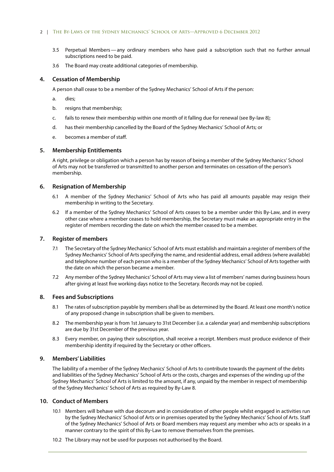#### 2 | The By-Laws of the Sydney Mechanics' School of Arts—Approved 6 December 2012

- 3.5 Perpetual Members—any ordinary members who have paid a subscription such that no further annual subscriptions need to be paid.
- 3.6 The Board may create additional categories of membership.

#### **4. Cessation of Membership**

A person shall cease to be a member of the Sydney Mechanics' School of Arts if the person:

- a. dies;
- b. resigns that membership;
- c. fails to renew their membership within one month of it falling due for renewal (see By-law 8);
- d. has their membership cancelled by the Board of the Sydney Mechanics' School of Arts; or
- e. becomes a member of staff.

#### **5. Membership Entitlements**

A right, privilege or obligation which a person has by reason of being a member of the Sydney Mechanics' School of Arts may not be transferred or transmitted to another person and terminates on cessation of the person's membership.

#### **6. Resignation of Membership**

- 6.1 A member of the Sydney Mechanics' School of Arts who has paid all amounts payable may resign their membership in writing to the Secretary.
- 6.2 If a member of the Sydney Mechanics' School of Arts ceases to be a member under this By-Law, and in every other case where a member ceases to hold membership, the Secretary must make an appropriate entry in the register of members recording the date on which the member ceased to be a member.

#### **7. Register of members**

- 7.1 The Secretary of the Sydney Mechanics' School of Arts must establish and maintain a register of members of the Sydney Mechanics' School of Arts specifying the name, and residential address, email address (where available) and telephone number of each person who is a member of the Sydney Mechanics' School of Arts together with the date on which the person became a member.
- 7.2 Any member of the Sydney Mechanics' School of Arts may view a list of members' names during business hours after giving at least five working days notice to the Secretary. Records may not be copied.

#### **8. Fees and Subscriptions**

- 8.1 The rates of subscription payable by members shall be as determined by the Board. At least one month's notice of any proposed change in subscription shall be given to members.
- 8.2 The membership year is from 1st January to 31st December (i.e. a calendar year) and membership subscriptions are due by 31st December of the previous year.
- 8.3 Every member, on paying their subscription, shall receive a receipt. Members must produce evidence of their membership identity if required by the Secretary or other officers.

#### **9. Members' Liabilities**

The liability of a member of the Sydney Mechanics' School of Arts to contribute towards the payment of the debts and liabilities of the Sydney Mechanics' School of Arts or the costs, charges and expenses of the winding up of the Sydney Mechanics' School of Arts is limited to the amount, if any, unpaid by the member in respect of membership of the Sydney Mechanics' School of Arts as required by By-Law 8.

#### **10. Conduct of Members**

- 10.1 Members will behave with due decorum and in consideration of other people whilst engaged in activities run by the Sydney Mechanics' School of Arts or in premises operated by the Sydney Mechanics' School of Arts. Staff of the Sydney Mechanics' School of Arts or Board members may request any member who acts or speaks in a manner contrary to the spirit of this By-Law to remove themselves from the premises.
- 10.2 The Library may not be used for purposes not authorised by the Board.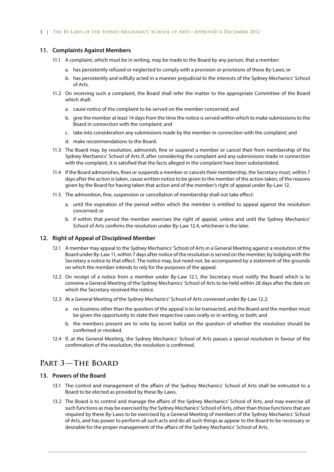#### **11. Complaints Against Members**

- 11.1 A complaint, which must be in writing, may be made to the Board by any person, that a member:
	- a. has persistently refused or neglected to comply with a provision or provisions of these By-Laws; or
	- b. has persistently and wilfully acted in a manner prejudicial to the interests of the Sydney Mechanics' School of Arts.
- 11.2 On receiving such a complaint, the Board shall refer the matter to the appropriate Committee of the Board which shall:
	- a. cause notice of the complaint to be served on the member concerned; and
	- b. give the member at least 14 days from the time the notice is served within which to make submissions to the Board in connection with the complaint; and
	- c. take into consideration any submissions made by the member in connection with the complaint; and
	- d. make recommendations to the Board.
- 11.3 The Board may, by resolution, admonish, fine or suspend a member or cancel their from membership of the Sydney Mechanics' School of Arts if, after considering the complaint and any submissions made in connection with the complaint, it is satisfied that the facts alleged in the complaint have been substantiated.
- 11.4 If the Board admonishes, fines or suspends a member or cancels their membership, the Secretary must, within 7 days after the action is taken, cause written notice to be given to the member of the action taken, of the reasons given by the Board for having taken that action and of the member's right of appeal under By-Law 12.
- 11.5 The admonition, fine, suspension or cancellation of membership shall not take effect:
	- a. until the expiration of the period within which the member is entitled to appeal against the resolution concerned; or
	- b. if within that period the member exercises the right of appeal, unless and until the Sydney Mechanics' School of Arts confirms the resolution under By-Law 12.4, whichever is the later.

#### **12. Right of Appeal of Disciplined Member**

- 12.1 A member may appeal to the Sydney Mechanics' School of Arts in a General Meeting against a resolution of the Board under By-Law 11, within 7 days after notice of the resolution is served on the member, by lodging with the Secretary a notice to that effect. The notice may, but need not, be accompanied by a statement of the grounds on which the member intends to rely for the purposes of the appeal.
- 12.2 On receipt of a notice from a member under By-Law 12.1, the Secretary must notify the Board which is to convene a General Meeting of the Sydney Mechanics' School of Arts to be held within 28 days after the date on which the Secretary received the notice.
- 12.3 At a General Meeting of the Sydney Mechanics' School of Arts convened under By-Law 12.2:
	- a. no business other than the question of the appeal is to be transacted, and the Board and the member must be given the opportunity to state their respective cases orally or in writing, or both; and
	- b. the members present are to vote by secret ballot on the question of whether the resolution should be confirmed or revoked.
- 12.4 If, at the General Meeting, the Sydney Mechanics' School of Arts passes a special resolution in favour of the confirmation of the resolution, the resolution is confirmed.

# **Part 3—The Board**

#### **13. Powers of the Board**

- 13.1 The control and management of the affairs of the Sydney Mechanics' School of Arts shall be entrusted to a Board to be elected as provided by these By-Laws.
- 13.2 The Board is to control and manage the affairs of the Sydney Mechanics' School of Arts, and may exercise all such functions as may be exercised by the Sydney Mechanics' School of Arts, other than those functions that are required by these By-Laws to be exercised by a General Meeting of members of the Sydney Mechanics' School of Arts, and has power to perform all such acts and do all such things as appear to the Board to be necessary or desirable for the proper management of the affairs of the Sydney Mechanics' School of Arts.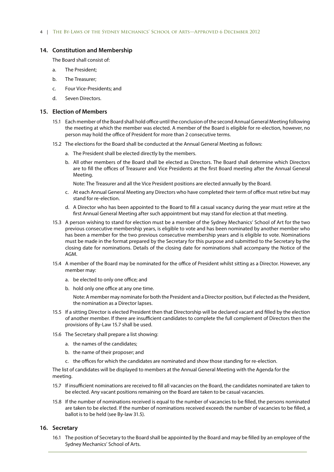#### **14. Constitution and Membership**

The Board shall consist of:

- a. The President;
- b. The Treasurer;
- c. Four Vice-Presidents; and
- d. Seven Directors.

#### **15. Election of Members**

- 15.1 Each member of the Board shall hold office until the conclusion of the second Annual General Meeting following the meeting at which the member was elected. A member of the Board is eligible for re-election, however, no person may hold the office of President for more than 2 consecutive terms.
- 15.2 The elections for the Board shall be conducted at the Annual General Meeting as follows:
	- a. The President shall be elected directly by the members.
	- b. All other members of the Board shall be elected as Directors. The Board shall determine which Directors are to fill the offices of Treasurer and Vice Presidents at the first Board meeting after the Annual General Meeting.

Note: The Treasurer and all the Vice President positions are elected annually by the Board.

- c. At each Annual General Meeting any Directors who have completed their term of office must retire but may stand for re-election.
- d. A Director who has been appointed to the Board to fill a casual vacancy during the year must retire at the first Annual General Meeting after such appointment but may stand for election at that meeting.
- 15.3 A person wishing to stand for election must be a member of the Sydney Mechanics' School of Art for the two previous consecutive membership years, is eligible to vote and has been nominated by another member who has been a member for the two previous consecutive membership years and is eligible to vote. Nominations must be made in the format prepared by the Secretary for this purpose and submitted to the Secretary by the closing date for nominations. Details of the closing date for nominations shall accompany the Notice of the AGM.
- 15.4 A member of the Board may be nominated for the office of President whilst sitting as a Director. However, any member may:
	- a. be elected to only one office; and
	- b. hold only one office at any one time.

Note: A member may nominate for both the President and a Director position, but if elected as the President, the nomination as a Director lapses.

- 15.5 If a sitting Director is elected President then that Directorship will be declared vacant and filled by the election of another member. If there are insufficient candidates to complete the full complement of Directors then the provisions of By-Law 15.7 shall be used.
- 15.6 The Secretary shall prepare a list showing:
	- a. the names of the candidates;
	- b. the name of their proposer; and
	- c. the offices for which the candidates are nominated and show those standing for re-election.

The list of candidates will be displayed to members at the Annual General Meeting with the Agenda for the meeting.

- 15.7 If insufficient nominations are received to fill all vacancies on the Board, the candidates nominated are taken to be elected. Any vacant positions remaining on the Board are taken to be casual vacancies.
- 15.8 If the number of nominations received is equal to the number of vacancies to be filled, the persons nominated are taken to be elected. If the number of nominations received exceeds the number of vacancies to be filled, a ballot is to be held (see By-law 31.5).

#### **16. Secretary**

16.1 The position of Secretary to the Board shall be appointed by the Board and may be filled by an employee of the Sydney Mechanics' School of Arts.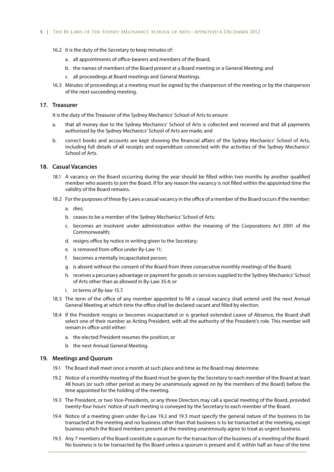#### 5 | The By-Laws of the Sydney Mechanics' School of Arts—Approved 6 December 2012

- 16.2 It is the duty of the Secretary to keep minutes of:
	- a. all appointments of office-bearers and members of the Board;
	- b. the names of members of the Board present at a Board meeting or a General Meeting; and
	- c. all proceedings at Board meetings and General Meetings.
- 16.3 Minutes of proceedings at a meeting must be signed by the chairperson of the meeting or by the chairperson of the next succeeding meeting.

#### **17. Treasurer**

It is the duty of the Treasurer of the Sydney Mechanics' School of Arts to ensure:

- a. that all money due to the Sydney Mechanics' School of Arts is collected and received and that all payments authorised by the Sydney Mechanics' School of Arts are made; and
- b. correct books and accounts are kept showing the financial affairs of the Sydney Mechanics' School of Arts, including full details of all receipts and expenditure connected with the activities of the Sydney Mechanics' School of Arts.

#### **18. Casual Vacancies**

- 18.1 A vacancy on the Board occurring during the year should be filled within two months by another qualified member who assents to join the Board. If for any reason the vacancy is not filled within the appointed time the validity of the Board remains.
- 18.2 For the purposes of these By-Laws a casual vacancy in the office of a member of the Board occurs if the member:
	- a. dies;
	- b. ceases to be a member of the Sydney Mechanics' School of Arts;
	- c. becomes an insolvent under administration within the meaning of the Corporations Act 2001 of the Commonwealth;
	- d. resigns office by notice in writing given to the Secretary;
	- e. is removed from office under By-Law 11;
	- f. becomes a mentally incapacitated person;
	- g. is absent without the consent of the Board from three consecutive monthly meetings of the Board;
	- h. receives a pecuniary advantage or payment for goods or services supplied to the Sydney Mechanics' School of Arts other than as allowed in By-Law 35.4; or
	- i. in terms of By-law 15.7.
- 18.3 The term of the office of any member appointed to fill a casual vacancy shall extend until the next Annual General Meeting at which time the office shall be declared vacant and filled by election.
- 18.4 If the President resigns or becomes incapacitated or is granted extended Leave of Absence, the Board shall select one of their number as Acting President, with all the authority of the President's role. This member will remain in office until either:
	- a. the elected President resumes the position; or
	- b. the next Annual General Meeting.

#### **19. Meetings and Quorum**

- 19.1 The Board shall meet once a month at such place and time as the Board may determine.
- 19.2 Notice of a monthly meeting of the Board must be given by the Secretary to each member of the Board at least 48 hours (or such other period as many be unanimously agreed on by the members of the Board) before the time appointed for the holding of the meeting.
- 19.3 The President, or two Vice-Presidents, or any three Directors may call a special meeting of the Board, provided twenty-four hours' notice of such meeting is conveyed by the Secretary to each member of the Board.
- 19.4 Notice of a meeting given under By-Law 19.2 and 19.3 must specify the general nature of the business to be transacted at the meeting and no business other than that business is to be transacted at the meeting, except business which the Board members present at the meeting unanimously agree to treat as urgent business.
- 19.5 Any 7 members of the Board constitute a quorum for the transaction of the business of a meeting of the Board. No business is to be transacted by the Board unless a quorum is present and if, within half an hour of the time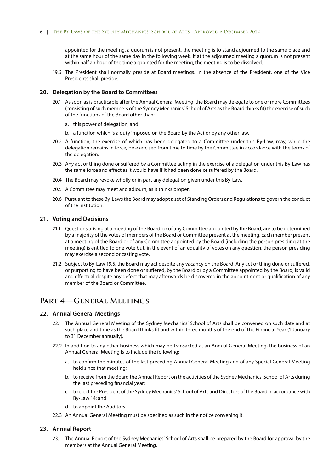appointed for the meeting, a quorum is not present, the meeting is to stand adjourned to the same place and at the same hour of the same day in the following week. If at the adjourned meeting a quorum is not present within half an hour of the time appointed for the meeting, the meeting is to be dissolved.

19.6 The President shall normally preside at Board meetings. In the absence of the President, one of the Vice Presidents shall preside.

#### **20. Delegation by the Board to Committees**

- 20.1 As soon as is practicable after the Annual General Meeting, the Board may delegate to one or more Committees (consisting of such members of the Sydney Mechanics' School of Arts as the Board thinks fit) the exercise of such of the functions of the Board other than:
	- a. this power of delegation; and
	- b. a function which is a duty imposed on the Board by the Act or by any other law.
- 20.2 A function, the exercise of which has been delegated to a Committee under this By-Law, may, while the delegation remains in force, be exercised from time to time by the Committee in accordance with the terms of the delegation.
- 20.3 Any act or thing done or suffered by a Committee acting in the exercise of a delegation under this By-Law has the same force and effect as it would have if it had been done or suffered by the Board.
- 20.4 The Board may revoke wholly or in part any delegation given under this By-Law.
- 20.5 A Committee may meet and adjourn, as it thinks proper.
- 20.6 Pursuant to these By-Laws the Board may adopt a set of Standing Orders and Regulations to govern the conduct of the Institution.

#### **21. Voting and Decisions**

- 21.1 Questions arising at a meeting of the Board, or of any Committee appointed by the Board, are to be determined by a majority of the votes of members of the Board or Committee present at the meeting. Each member present at a meeting of the Board or of any Committee appointed by the Board (including the person presiding at the meeting) is entitled to one vote but, in the event of an equality of votes on any question, the person presiding may exercise a second or casting vote.
- 21.2 Subject to By-Law 19.5, the Board may act despite any vacancy on the Board. Any act or thing done or suffered, or purporting to have been done or suffered, by the Board or by a Committee appointed by the Board, is valid and effectual despite any defect that may afterwards be discovered in the appointment or qualification of any member of the Board or Committee.

### **Part 4—General Meetings**

#### **22. Annual General Meetings**

- 22.1 The Annual General Meeting of the Sydney Mechanics' School of Arts shall be convened on such date and at such place and time as the Board thinks fit and within three months of the end of the Financial Year (1 January to 31 December annually).
- 22.2 In addition to any other business which may be transacted at an Annual General Meeting, the business of an Annual General Meeting is to include the following:
	- a. to confirm the minutes of the last preceding Annual General Meeting and of any Special General Meeting held since that meeting;
	- b. to receive from the Board the Annual Report on the activities of the Sydney Mechanics' School of Arts during the last preceding financial year;
	- c. to elect the President of the Sydney Mechanics' School of Arts and Directors of the Board in accordance with By-Law 14; and
	- d. to appoint the Auditors.
- 22.3 An Annual General Meeting must be specified as such in the notice convening it.

#### **23. Annual Report**

23.1 The Annual Report of the Sydney Mechanics' School of Arts shall be prepared by the Board for approval by the members at the Annual General Meeting.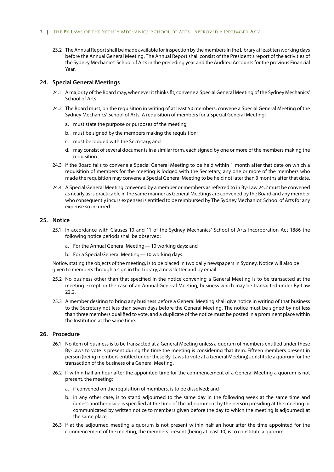#### 7 | The By-Laws of the Sydney Mechanics' School of Arts—Approved 6 December 2012

23.2 The Annual Report shall be made available for inspection by the members in the Library at least ten working days before the Annual General Meeting. The Annual Report shall consist of the President's report of the activities of the Sydney Mechanics' School of Arts in the preceding year and the Audited Accounts for the previous Financial Year.

#### **24. Special General Meetings**

- 24.1 A majority of the Board may, whenever it thinks fit, convene a Special General Meeting of the Sydney Mechanics' School of Arts.
- 24.2 The Board must, on the requisition in writing of at least 50 members, convene a Special General Meeting of the Sydney Mechanics' School of Arts. A requisition of members for a Special General Meeting:
	- a. must state the purpose or purposes of the meeting;
	- b. must be signed by the members making the requisition;
	- c. must be lodged with the Secretary, and
	- d. may consist of several documents in a similar form, each signed by one or more of the members making the requisition.
- 24.3 If the Board fails to convene a Special General Meeting to be held within 1 month after that date on which a requisition of members for the meeting is lodged with the Secretary, any one or more of the members who made the requisition may convene a Special General Meeting to be held not later than 3 months after that date.
- 24.4 A Special General Meeting convened by a member or members as referred to in By-Law 24.2 must be convened as nearly as is practicable in the same manner as General Meetings are convened by the Board and any member who consequently incurs expenses is entitled to be reimbursed by The Sydney Mechanics' School of Arts for any expense so incurred.

#### **25. Notice**

- 25.1 In accordance with Clauses 10 and 11 of the Sydney Mechanics' School of Arts Incorporation Act 1886 the following notice periods shall be observed:
	- a. For the Annual General Meeting—10 working days; and
	- b. For a Special General Meeting—10 working days.

Notice, stating the objects of the meeting, is to be placed in two daily newspapers in Sydney. Notice will also be given to members through a sign in the Library, a newsletter and by email.

- 25.2 No business other than that specified in the notice convening a General Meeting is to be transacted at the meeting except, in the case of an Annual General Meeting, business which may be transacted under By-Law 22.2.
- 25.3 A member desiring to bring any business before a General Meeting shall give notice in writing of that business to the Secretary not less than seven days before the General Meeting. The notice must be signed by not less than three members qualified to vote, and a duplicate of the notice must be posted in a prominent place within the Institution at the same time.

#### **26. Procedure**

- 26.1 No item of business is to be transacted at a General Meeting unless a quorum of members entitled under these By-Laws to vote is present during the time the meeting is considering that item. Fifteen members present in person (being members entitled under these By-Laws to vote at a General Meeting) constitute a quorum for the transaction of the business of a General Meeting.
- 26.2 If within half an hour after the appointed time for the commencement of a General Meeting a quorum is not present, the meeting:
	- a. if convened on the requisition of members, is to be dissolved; and
	- b. in any other case, is to stand adjourned to the same day in the following week at the same time and (unless another place is specified at the time of the adjournment by the person presiding at the meeting or communicated by written notice to members given before the day to which the meeting is adjourned) at the same place.
- 26.3 If at the adjourned meeting a quorum is not present within half an hour after the time appointed for the commencement of the meeting, the members present (being at least 10) is to constitute a quorum.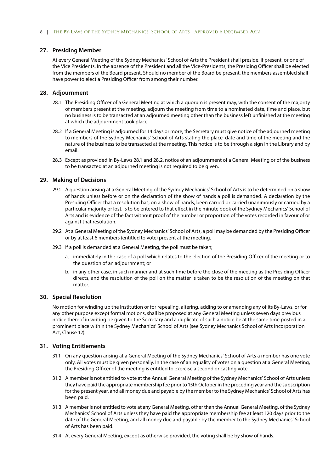#### **27. Presiding Member**

At every General Meeting of the Sydney Mechanics' School of Arts the President shall preside, if present, or one of the Vice Presidents. In the absence of the President and all the Vice-Presidents, the Presiding Officer shall be elected from the members of the Board present. Should no member of the Board be present, the members assembled shall have power to elect a Presiding Officer from among their number.

#### **28. Adjournment**

- 28.1 The Presiding Officer of a General Meeting at which a quorum is present may, with the consent of the majority of members present at the meeting, adjourn the meeting from time to a nominated date, time and place, but no business is to be transacted at an adjourned meeting other than the business left unfinished at the meeting at which the adjournment took place.
- 28.2 If a General Meeting is adjourned for 14 days or more, the Secretary must give notice of the adjourned meeting to members of the Sydney Mechanics' School of Arts stating the place, date and time of the meeting and the nature of the business to be transacted at the meeting. This notice is to be through a sign in the Library and by email.
- 28.3 Except as provided in By-Laws 28.1 and 28.2, notice of an adjournment of a General Meeting or of the business to be transacted at an adjourned meeting is not required to be given.

#### **29. Making of Decisions**

- 29.1 A question arising at a General Meeting of the Sydney Mechanics' School of Arts is to be determined on a show of hands unless before or on the declaration of the show of hands a poll is demanded. A declaration by the Presiding Officer that a resolution has, on a show of hands, been carried or carried unanimously or carried by a particular majority or lost, is to be entered to that effect in the minute book of the Sydney Mechanics' School of Arts and is evidence of the fact without proof of the number or proportion of the votes recorded in favour of or against that resolution.
- 29.2 At a General Meeting of the Sydney Mechanics' School of Arts, a poll may be demanded by the Presiding Officer or by at least 6 members (entitled to vote) present at the meeting.
- 29.3 If a poll is demanded at a General Meeting, the poll must be taken;
	- a. immediately in the case of a poll which relates to the election of the Presiding Officer of the meeting or to the question of an adjournment; or
	- b. in any other case, in such manner and at such time before the close of the meeting as the Presiding Officer directs, and the resolution of the poll on the matter is taken to be the resolution of the meeting on that matter.

#### **30. Special Resolution**

No motion for winding up the Institution or for repealing, altering, adding to or amending any of its By-Laws, or for any other purpose except formal motions, shall be proposed at any General Meeting unless seven days previous notice thereof in writing be given to the Secretary and a duplicate of such a notice be at the same time posted in a prominent place within the Sydney Mechanics' School of Arts (see Sydney Mechanics School of Arts Incorporation Act, Clause 12).

#### **31. Voting Entitlements**

- 31.1 On any question arising at a General Meeting of the Sydney Mechanics' School of Arts a member has one vote only. All votes must be given personally. In the case of an equality of votes on a question at a General Meeting, the Presiding Officer of the meeting is entitled to exercise a second or casting vote.
- 31.2 A member is not entitled to vote at the Annual General Meeting of the Sydney Mechanics' School of Arts unless they have paid the appropriate membership fee prior to 15th October in the preceding year and the subscription for the present year, and all money due and payable by the member to the Sydney Mechanics' School of Arts has been paid.
- 31.3 A member is not entitled to vote at any General Meeting, other than the Annual General Meeting, of the Sydney Mechanics' School of Arts unless they have paid the appropriate membership fee at least 120 days prior to the date of the General Meeting, and all money due and payable by the member to the Sydney Mechanics' School of Arts has been paid.
- 31.4 At every General Meeting, except as otherwise provided, the voting shall be by show of hands.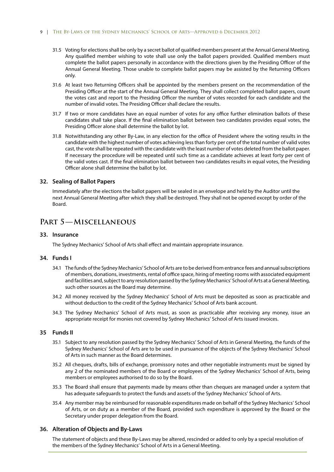#### 9 | THE BY-LAWS OF THE SYDNEY MECHANICS' SCHOOL OF ARTS-APPROVED 6 DECEMBER 2012

- 31.5 Voting for elections shall be only by a secret ballot of qualified members present at the Annual General Meeting. Any qualified member wishing to vote shall use only the ballot papers provided. Qualified members must complete the ballot papers personally in accordance with the directions given by the Presiding Officer of the Annual General Meeting. Those unable to complete ballot papers may be assisted by the Returning Officers only.
- 31.6 At least two Returning Officers shall be appointed by the members present on the recommendation of the Presiding Officer at the start of the Annual General Meeting. They shall collect completed ballot papers, count the votes cast and report to the Presiding Officer the number of votes recorded for each candidate and the number of invalid votes. The Presiding Officer shall declare the results.
- 31.7 If two or more candidates have an equal number of votes for any office further elimination ballots of these candidates shall take place. If the final elimination ballot between two candidates provides equal votes, the Presiding Officer alone shall determine the ballot by lot.
- 31.8 Notwithstanding any other By-Law, in any election for the office of President where the voting results in the candidate with the highest number of votes achieving less than forty per cent of the total number of valid votes cast, the vote shall be repeated with the candidate with the least number of votes deleted from the ballot paper. If necessary the procedure will be repeated until such time as a candidate achieves at least forty per cent of the valid votes cast. If the final elimination ballot between two candidates results in equal votes, the Presiding Officer alone shall determine the ballot by lot.

#### **32. Sealing of Ballot Papers**

Immediately after the elections the ballot papers will be sealed in an envelope and held by the Auditor until the next Annual General Meeting after which they shall be destroyed. They shall not be opened except by order of the Board.

### **Part 5—Miscellaneous**

#### **33. Insurance**

The Sydney Mechanics' School of Arts shall effect and maintain appropriate insurance.

#### **34. Funds I**

- 34.1 The funds of the Sydney Mechanics' School of Arts are to be derived from entrance fees and annual subscriptions of members, donations, investments, rental of office space, hiring of meeting rooms with associated equipment and facilities and, subject to any resolution passed by the Sydney Mechanics' School of Arts at a General Meeting, such other sources as the Board may determine.
- 34.2 All money received by the Sydney Mechanics' School of Arts must be deposited as soon as practicable and without deduction to the credit of the Sydney Mechanics' School of Arts bank account.
- 34.3 The Sydney Mechanics' School of Arts must, as soon as practicable after receiving any money, issue an appropriate receipt for monies not covered by Sydney Mechanics' School of Arts issued invoices.

#### **35 Funds II**

- 35.1 Subject to any resolution passed by the Sydney Mechanics' School of Arts in General Meeting, the funds of the Sydney Mechanics' School of Arts are to be used in pursuance of the objects of the Sydney Mechanics' School of Arts in such manner as the Board determines.
- 35.2 All cheques, drafts, bills of exchange, promissory notes and other negotiable instruments must be signed by any 2 of the nominated members of the Board or employees of the Sydney Mechanics' School of Arts, being members or employees authorised to do so by the Board.
- 35.3 The Board shall ensure that payments made by means other than cheques are managed under a system that has adequate safeguards to protect the funds and assets of the Sydney Mechanics' School of Arts.
- 35.4 Any member may be reimbursed for reasonable expenditures made on behalf of the Sydney Mechanics' School of Arts, or on duty as a member of the Board, provided such expenditure is approved by the Board or the Secretary under proper delegation from the Board.

#### **36. Alteration of Objects and By-Laws**

The statement of objects and these By-Laws may be altered, rescinded or added to only by a special resolution of the members of the Sydney Mechanics' School of Arts in a General Meeting.